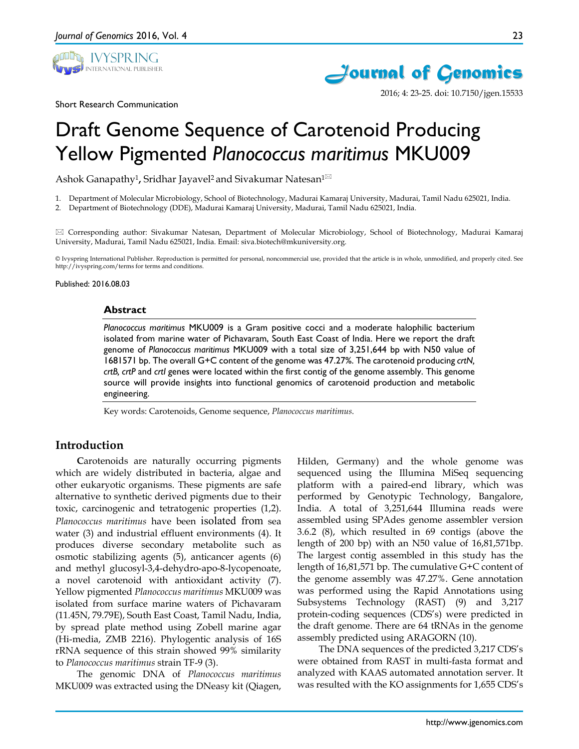



2016; 4: 23-25. doi: 10.7150/jgen.15533

Short Research Communication

# Draft Genome Sequence of Carotenoid Producing Yellow Pigmented *Planococcus maritimus* MKU009

Ashok Ganapathy<sup>1</sup>, Sridhar Jayavel<sup>2</sup> and Sivakumar Natesan<sup>1⊠</sup>

1. Department of Molecular Microbiology, School of Biotechnology, Madurai Kamaraj University, Madurai, Tamil Nadu 625021, India.

2. Department of Biotechnology (DDE), Madurai Kamaraj University, Madurai, Tamil Nadu 625021, India.

 Corresponding author: Sivakumar Natesan, Department of Molecular Microbiology, School of Biotechnology, Madurai Kamaraj University, Madurai, Tamil Nadu 625021, India. Email: siva.biotech@mkuniversity.org.

© Ivyspring International Publisher. Reproduction is permitted for personal, noncommercial use, provided that the article is in whole, unmodified, and properly cited. See http://ivyspring.com/terms for terms and conditions.

Published: 2016.08.03

#### **Abstract**

*Planococcus maritimus* MKU009 is a Gram positive cocci and a moderate halophilic bacterium isolated from marine water of Pichavaram, South East Coast of India. Here we report the draft genome of *Planococcus maritimus* MKU009 with a total size of 3,251,644 bp with N50 value of 1681571 bp. The overall G+C content of the genome was 47.27%. The carotenoid producing *crtN, crtB, crtP* and *crtI* genes were located within the first contig of the genome assembly. This genome source will provide insights into functional genomics of carotenoid production and metabolic engineering.

Key words: Carotenoids, Genome sequence, *Planococcus maritimus*.

# **Introduction**

**C**arotenoids are naturally occurring pigments which are widely distributed in bacteria, algae and other eukaryotic organisms. These pigments are safe alternative to synthetic derived pigments due to their toxic, carcinogenic and tetratogenic properties (1,2). *Planococcus maritimus* have been isolated from sea water (3) and industrial effluent environments (4). It produces diverse secondary metabolite such as osmotic stabilizing agents (5), anticancer agents (6) and methyl glucosyl-3,4-dehydro-apo-8-lycopenoate, a novel carotenoid with antioxidant activity (7). Yellow pigmented *Planococcus maritimus* MKU009 was isolated from surface marine waters of Pichavaram (11.45N, 79.79E), South East Coast, Tamil Nadu, India, by spread plate method using Zobell marine agar (Hi-media, ZMB 2216). Phylogentic analysis of 16S rRNA sequence of this strain showed 99% similarity to *Planococcus maritimus* strain TF-9 (3).

The genomic DNA of *Planococcus maritimus* MKU009 was extracted using the DNeasy kit (Qiagen, Hilden, Germany) and the whole genome was sequenced using the Illumina MiSeq sequencing platform with a paired-end library, which was performed by Genotypic Technology, Bangalore, India. A total of 3,251,644 Illumina reads were assembled using SPAdes genome assembler version 3.6.2 (8), which resulted in 69 contigs (above the length of 200 bp) with an N50 value of 16,81,571bp. The largest contig assembled in this study has the length of 16,81,571 bp. The cumulative G+C content of the genome assembly was 47.27%. Gene annotation was performed using the Rapid Annotations using Subsystems Technology (RAST) (9) and 3,217 protein-coding sequences (CDS's) were predicted in the draft genome. There are 64 tRNAs in the genome assembly predicted using ARAGORN (10).

The DNA sequences of the predicted 3,217 CDS's were obtained from RAST in multi-fasta format and analyzed with KAAS automated annotation server. It was resulted with the KO assignments for 1,655 CDS's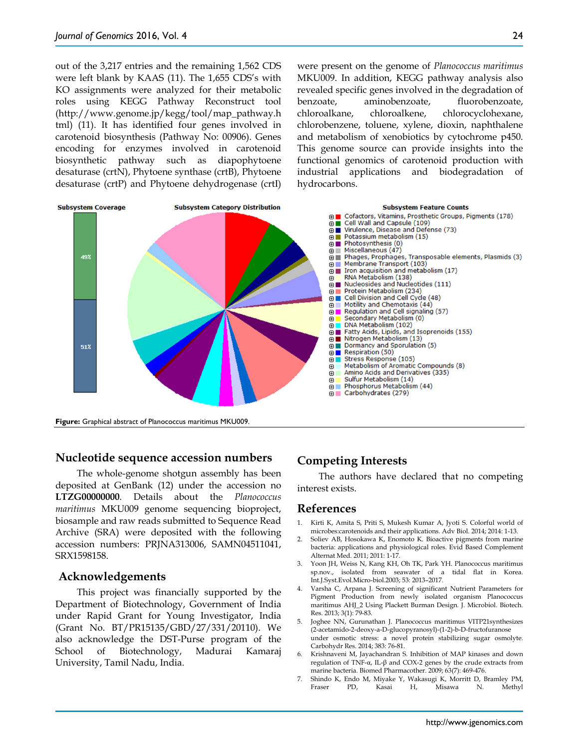out of the 3,217 entries and the remaining 1,562 CDS were left blank by KAAS (11). The 1,655 CDS's with KO assignments were analyzed for their metabolic roles using KEGG Pathway Reconstruct tool (http://www.genome.jp/kegg/tool/map\_pathway.h tml) (11). It has identified four genes involved in carotenoid biosynthesis (Pathway No: 00906). Genes encoding for enzymes involved in carotenoid biosynthetic pathway such as diapophytoene desaturase (crtN), Phytoene synthase (crtB), Phytoene desaturase (crtP) and Phytoene dehydrogenase (crtI)

were present on the genome of *Planococcus maritimus* MKU009. In addition, KEGG pathway analysis also revealed specific genes involved in the degradation of benzoate, aminobenzoate, fluorobenzoate, chloroalkane, chloroalkene, chlorocyclohexane, chlorobenzene, toluene, xylene, dioxin, naphthalene and metabolism of xenobiotics by cytochrome p450. This genome source can provide insights into the functional genomics of carotenoid production with industrial applications and biodegradation of hydrocarbons.



**Figure:** Graphical abstract of Planococcus maritimus MKU009.

## **Nucleotide sequence accession numbers**

The whole-genome shotgun assembly has been deposited at GenBank (12) under the accession no **LTZG00000000**. Details about the *Planococcus maritimus* MKU009 genome sequencing bioproject, biosample and raw reads submitted to Sequence Read Archive (SRA) were deposited with the following accession numbers: PRJNA313006, SAMN04511041, SRX1598158.

#### **Acknowledgements**

This project was financially supported by the Department of Biotechnology, Government of India under Rapid Grant for Young Investigator, India (Grant No. BT/PR15135/GBD/27/331/20110). We also acknowledge the DST-Purse program of the School of Biotechnology, Madurai Kamaraj University, Tamil Nadu, India.

## **Competing Interests**

The authors have declared that no competing interest exists.

#### **References**

- 1. Kirti K, Amita S, Priti S, Mukesh Kumar A, Jyoti S. Colorful world of microbes:carotenoids and their applications. Adv Biol. 2014; 2014: 1-13.
- 2. Soliev AB, Hosokawa K, Enomoto K. Bioactive pigments from marine bacteria: applications and physiological roles. Evid Based Complement Alternat Med. 2011; 2011: 1-17.
- 3. Yoon JH, Weiss N, Kang KH, Oh TK, Park YH. Planococcus maritimus sp.nov., isolated from seawater of a tidal flat in Korea. Int.J.Syst.Evol.Micro-biol.2003; 53: 2013–2017.
- Varsha C, Arpana J. Screening of significant Nutrient Parameters for Pigment Production from newly isolated organism Planococcus maritimus AHJ\_2 Using Plackett Burman Design. J. Microbiol. Biotech. Res. 2013; 3(1): 79-83.
- 5. Joghee NN, Gurunathan J. Planococcus maritimus VITP21synthesizes (2-acetamido-2-deoxy-a-D-glucopyranosyl)-(1-2)-b-D-fructofuranose under osmotic stress: a novel protein stabilizing sugar osmolyte. Carbohydr Res. 2014; 383: 76-81.
- 6. Krishnaveni M, Jayachandran S. Inhibition of MAP kinases and down regulation of TNF- $\alpha$ , IL-β and COX-2 genes by the crude extracts from marine bacteria. Biomed Pharmacother. 2009; 63(7): 469-476.
- 7. Shindo K, Endo M, Miyake Y, Wakasugi K, Morritt D, Bramley PM, Fraser PD, Kasai H, Misawa N. Methyl